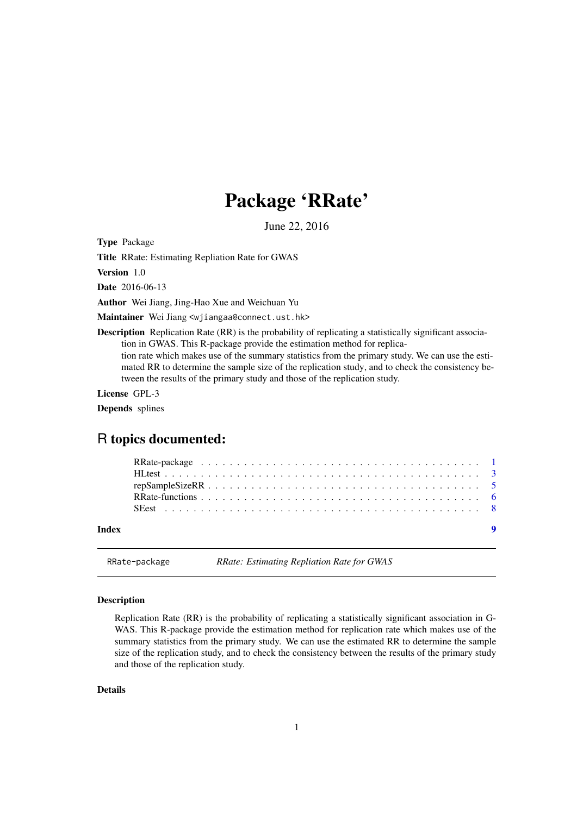## Package 'RRate'

June 22, 2016

<span id="page-0-1"></span><span id="page-0-0"></span>Type Package

Title RRate: Estimating Repliation Rate for GWAS

Version 1.0

Date 2016-06-13

Author Wei Jiang, Jing-Hao Xue and Weichuan Yu

Maintainer Wei Jiang <wjiangaa@connect.ust.hk>

Description Replication Rate (RR) is the probability of replicating a statistically significant association in GWAS. This R-package provide the estimation method for replication rate which makes use of the summary statistics from the primary study. We can use the estimated RR to determine the sample size of the replication study, and to check the consistency be-

tween the results of the primary study and those of the replication study.

License GPL-3

Depends splines

### R topics documented:

RRate-package *RRate: Estimating Repliation Rate for GWAS*

#### <span id="page-0-2"></span>Description

Replication Rate (RR) is the probability of replicating a statistically significant association in G-WAS. This R-package provide the estimation method for replication rate which makes use of the summary statistics from the primary study. We can use the estimated RR to determine the sample size of the replication study, and to check the consistency between the results of the primary study and those of the replication study.

#### Details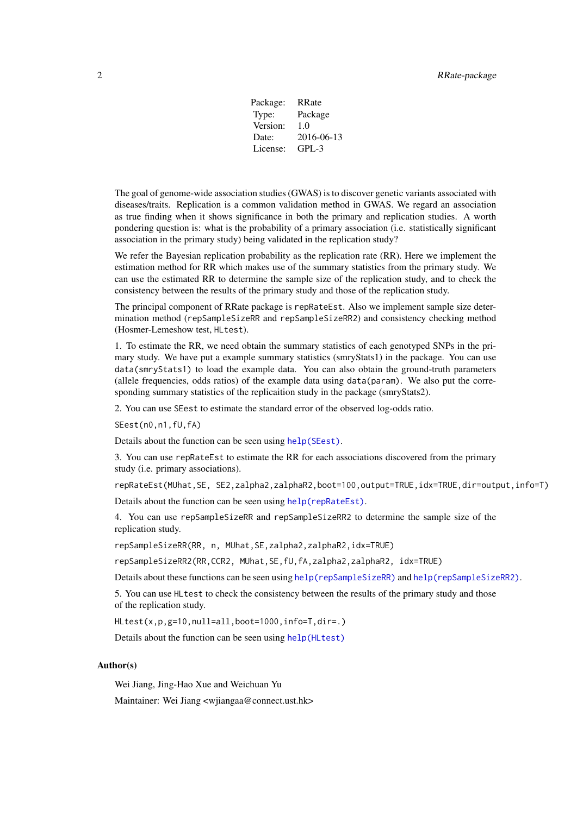| Package: | RRate      |
|----------|------------|
| Type:    | Package    |
| Version: | 1.0        |
| Date:    | 2016-06-13 |
| License: | $GPI - 3$  |

<span id="page-1-0"></span>The goal of genome-wide association studies (GWAS) is to discover genetic variants associated with diseases/traits. Replication is a common validation method in GWAS. We regard an association as true finding when it shows significance in both the primary and replication studies. A worth pondering question is: what is the probability of a primary association (i.e. statistically significant association in the primary study) being validated in the replication study?

We refer the Bayesian replication probability as the replication rate (RR). Here we implement the estimation method for RR which makes use of the summary statistics from the primary study. We can use the estimated RR to determine the sample size of the replication study, and to check the consistency between the results of the primary study and those of the replication study.

The principal component of RRate package is repRateEst. Also we implement sample size determination method (repSampleSizeRR and repSampleSizeRR2) and consistency checking method (Hosmer-Lemeshow test, HLtest).

1. To estimate the RR, we need obtain the summary statistics of each genotyped SNPs in the primary study. We have put a example summary statistics (smryStats1) in the package. You can use data(smryStats1) to load the example data. You can also obtain the ground-truth parameters (allele frequencies, odds ratios) of the example data using data(param). We also put the corresponding summary statistics of the replicaition study in the package (smryStats2).

2. You can use SEest to estimate the standard error of the observed log-odds ratio.

SEest(n0,n1,fU,fA)

Details about the function can be seen using [help\(SEest\)](#page-0-1).

3. You can use repRateEst to estimate the RR for each associations discovered from the primary study (i.e. primary associations).

repRateEst(MUhat,SE, SE2,zalpha2,zalphaR2,boot=100,output=TRUE,idx=TRUE,dir=output,info=T)

Details about the function can be seen using [help\(repRateEst\)](#page-0-1).

4. You can use repSampleSizeRR and repSampleSizeRR2 to determine the sample size of the replication study.

repSampleSizeRR(RR, n, MUhat,SE,zalpha2,zalphaR2,idx=TRUE)

repSampleSizeRR2(RR,CCR2, MUhat,SE,fU,fA,zalpha2,zalphaR2, idx=TRUE)

Details about these functions can be seen using [help\(repSampleSizeRR\)](#page-0-1) and [help\(repSampleSizeRR2\)](#page-0-1).

5. You can use HLtest to check the consistency between the results of the primary study and those of the replication study.

HLtest(x,p,g=10,null=all,boot=1000,info=T,dir=.)

Details about the function can be seen using [help\(HLtest\)](#page-0-1)

#### Author(s)

Wei Jiang, Jing-Hao Xue and Weichuan Yu

Maintainer: Wei Jiang <wjiangaa@connect.ust.hk>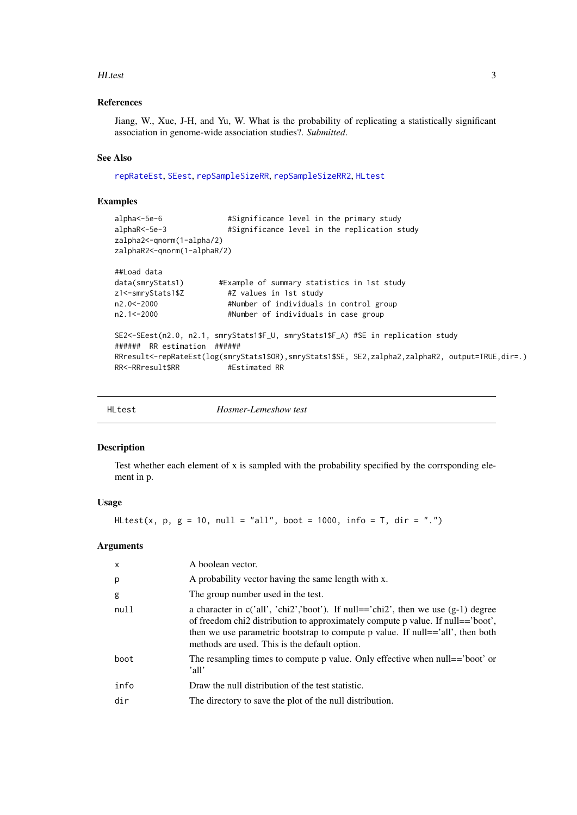#### <span id="page-2-0"></span>HLtest 3

#### References

Jiang, W., Xue, J-H, and Yu, W. What is the probability of replicating a statistically significant association in genome-wide association studies?. *Submitted*.

#### See Also

[repRateEst](#page-5-1), [SEest](#page-7-1), [repSampleSizeRR](#page-4-1), [repSampleSizeRR2](#page-4-2), [HLtest](#page-2-1)

#### Examples

```
alpha<-5e-6 #Significance level in the primary study<br>alphaR<-5e-3 #Significance level in the replication st
                           #Significance level in the replication study
zalpha2<-qnorm(1-alpha/2)
zalphaR2<-qnorm(1-alphaR/2)
##Load data
data(smryStats1) #Example of summary statistics in 1st study
z1<-smryStats1$Z #Z values in 1st study
n2.0<-2000 #Number of individuals in control group
                           #Number of individuals in case group
SE2<-SEest(n2.0, n2.1, smryStats1$F_U, smryStats1$F_A) #SE in replication study
###### RR estimation ######
RRresult<-repRateEst(log(smryStats1$OR),smryStats1$SE, SE2,zalpha2,zalphaR2, output=TRUE,dir=.)<br>RR<-RRresult$RR #Estimated RR
RR<-RRresult$RR
```
<span id="page-2-1"></span>

| HLtest | <i>Hosmer-Lemeshow test</i> |
|--------|-----------------------------|

#### Description

Test whether each element of x is sampled with the probability specified by the corrsponding element in p.

#### Usage

```
HLtest(x, p, g = 10, null = "all", boot = 1000, info = T, dir = ".")
```
#### Arguments

| $\mathsf{x}$ | A boolean vector.                                                                                                                                                                                                                                                                                             |
|--------------|---------------------------------------------------------------------------------------------------------------------------------------------------------------------------------------------------------------------------------------------------------------------------------------------------------------|
| p            | A probability vector having the same length with x.                                                                                                                                                                                                                                                           |
| g            | The group number used in the test.                                                                                                                                                                                                                                                                            |
| null         | a character in $c('all', 'chi2', 'boot')$ . If null=='chi2', then we use $(g-1)$ degree<br>of freedom chi2 distribution to approximately compute p value. If null=='boot',<br>then we use parametric bootstrap to compute p value. If null=='all', then both<br>methods are used. This is the default option. |
| boot         | The resampling times to compute p value. Only effective when null== 'boot' or<br>'all'                                                                                                                                                                                                                        |
| info         | Draw the null distribution of the test statistic.                                                                                                                                                                                                                                                             |
| dir          | The directory to save the plot of the null distribution.                                                                                                                                                                                                                                                      |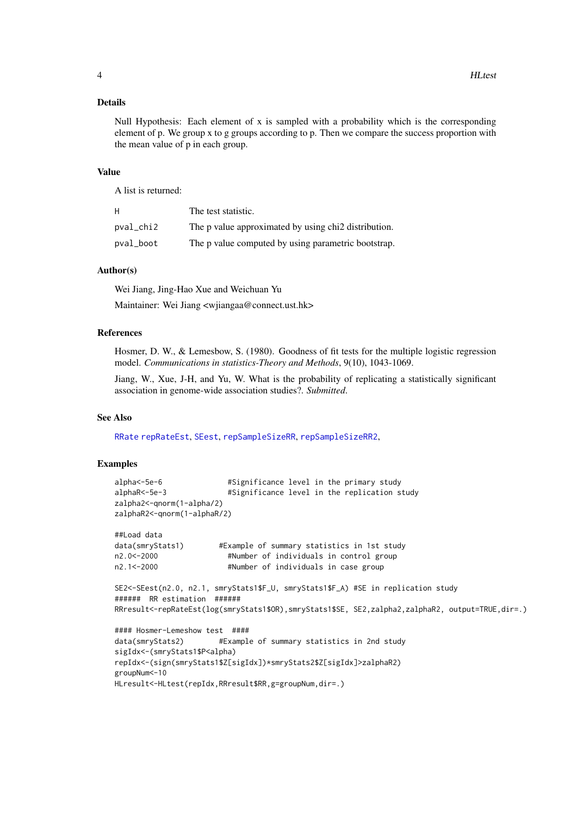#### <span id="page-3-0"></span>Details

Null Hypothesis: Each element of x is sampled with a probability which is the corresponding element of p. We group x to g groups according to p. Then we compare the success proportion with the mean value of p in each group.

#### Value

A list is returned:

| H.        | The test statistic.                                              |
|-----------|------------------------------------------------------------------|
| pval_chi2 | The p value approximated by using chi <sub>2</sub> distribution. |
| pval_boot | The p value computed by using parametric bootstrap.              |

#### Author(s)

Wei Jiang, Jing-Hao Xue and Weichuan Yu

Maintainer: Wei Jiang <wjiangaa@connect.ust.hk>

#### References

Hosmer, D. W., & Lemesbow, S. (1980). Goodness of fit tests for the multiple logistic regression model. *Communications in statistics-Theory and Methods*, 9(10), 1043-1069.

Jiang, W., Xue, J-H, and Yu, W. What is the probability of replicating a statistically significant association in genome-wide association studies?. *Submitted*.

#### See Also

[RRate](#page-0-2) [repRateEst](#page-5-1), [SEest](#page-7-1), [repSampleSizeRR](#page-4-1), [repSampleSizeRR2](#page-4-2),

#### Examples

```
alpha<-5e-6 #Significance level in the primary study
alphaR<-5e-3 #Significance level in the replication study
zalpha2<-qnorm(1-alpha/2)
zalphaR2<-qnorm(1-alphaR/2)
##Load data
data(smryStats1) #Example of summary statistics in 1st study
n2.0<-2000 #Number of individuals in control group
n2.1<-2000 #Number of individuals in case group
SE2<-SEest(n2.0, n2.1, smryStats1$F_U, smryStats1$F_A) #SE in replication study
###### RR estimation ######
RRresult<-repRateEst(log(smryStats1$OR),smryStats1$SE, SE2,zalpha2,zalphaR2, output=TRUE,dir=.)
#### Hosmer-Lemeshow test ####
data(smryStats2) #Example of summary statistics in 2nd study
sigIdx<-(smryStats1$P<alpha)
repIdx<-(sign(smryStats1$Z[sigIdx])*smryStats2$Z[sigIdx]>zalphaR2)
groupNum<-10
HLresult<-HLtest(repIdx,RRresult$RR,g=groupNum,dir=.)
```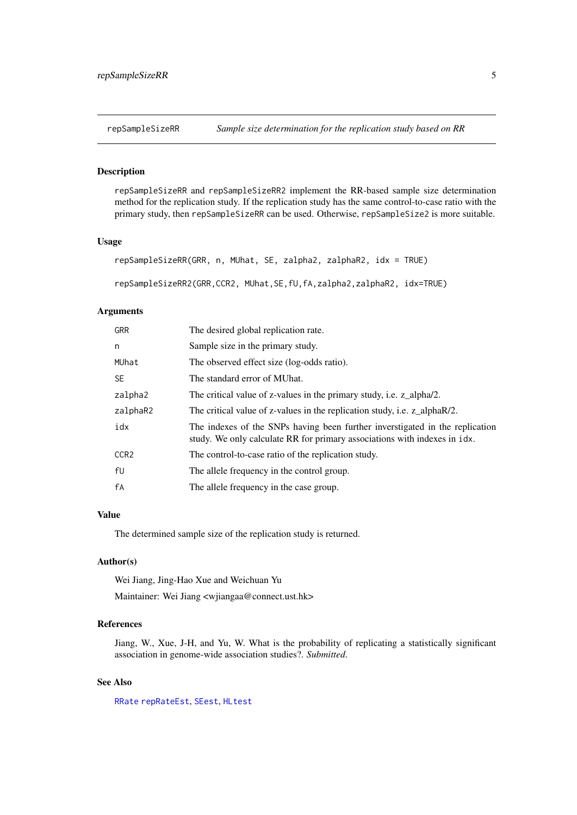<span id="page-4-1"></span><span id="page-4-0"></span>

#### <span id="page-4-2"></span>Description

repSampleSizeRR and repSampleSizeRR2 implement the RR-based sample size determination method for the replication study. If the replication study has the same control-to-case ratio with the primary study, then repSampleSizeRR can be used. Otherwise, repSampleSize2 is more suitable.

#### Usage

```
repSampleSizeRR(GRR, n, MUhat, SE, zalpha2, zalphaR2, idx = TRUE)
```
repSampleSizeRR2(GRR,CCR2, MUhat,SE,fU,fA,zalpha2,zalphaR2, idx=TRUE)

#### Arguments

| <b>GRR</b>       | The desired global replication rate.                                                                                                                      |
|------------------|-----------------------------------------------------------------------------------------------------------------------------------------------------------|
| n                | Sample size in the primary study.                                                                                                                         |
| MUhat            | The observed effect size (log-odds ratio).                                                                                                                |
| <b>SE</b>        | The standard error of MUhat.                                                                                                                              |
| zalpha2          | The critical value of z-values in the primary study, i.e. z_alpha/2.                                                                                      |
| zalphaR2         | The critical value of z-values in the replication study, i.e. z_alphaR/2.                                                                                 |
| idx              | The indexes of the SNPs having been further inverstigated in the replication<br>study. We only calculate RR for primary associations with indexes in idx. |
| CCR <sub>2</sub> | The control-to-case ratio of the replication study.                                                                                                       |
| fU               | The allele frequency in the control group.                                                                                                                |
| fA               | The allele frequency in the case group.                                                                                                                   |

#### Value

The determined sample size of the replication study is returned.

#### Author(s)

Wei Jiang, Jing-Hao Xue and Weichuan Yu

Maintainer: Wei Jiang <wjiangaa@connect.ust.hk>

#### References

Jiang, W., Xue, J-H, and Yu, W. What is the probability of replicating a statistically significant association in genome-wide association studies?. *Submitted*.

#### See Also

[RRate](#page-0-2) [repRateEst](#page-5-1), [SEest](#page-7-1), [HLtest](#page-2-1)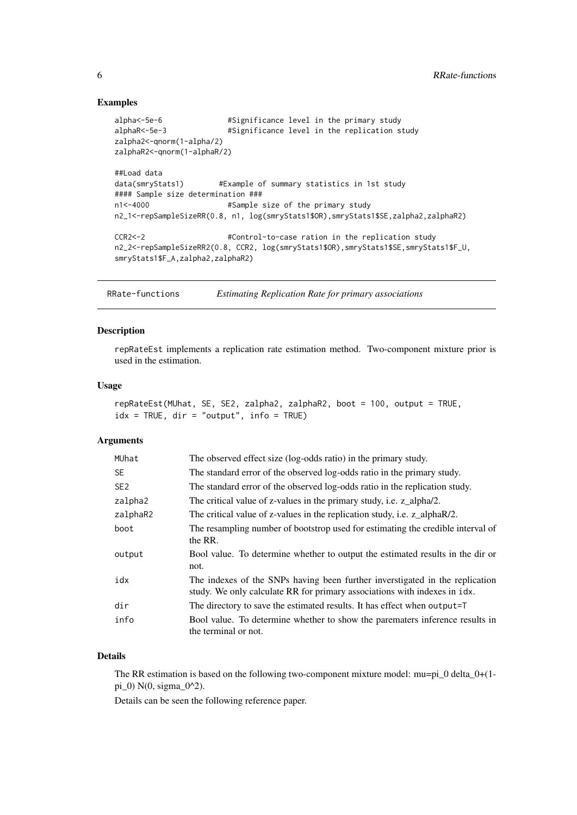#### Examples

```
alpha<-5e-6 #Significance level in the primary study
alphaR<-5e-3 #Significance level in the replication study
zalpha2<-qnorm(1-alpha/2)
zalphaR2<-qnorm(1-alphaR/2)
##Load data
data(smryStats1) #Example of summary statistics in 1st study
#### Sample size determination ###
n1<-4000 #Sample size of the primary study
n2_1<-repSampleSizeRR(0.8, n1, log(smryStats1$OR),smryStats1$SE,zalpha2,zalphaR2)
CCR2<-2 #Control-to-case ration in the replication study
n2_2<-repSampleSizeRR2(0.8, CCR2, log(smryStats1$OR),smryStats1$SE,smryStats1$F_U,
smryStats1$F_A,zalpha2,zalphaR2)
```
RRate-functions *Estimating Replication Rate for primary associations*

#### <span id="page-5-1"></span>Description

repRateEst implements a replication rate estimation method. Two-component mixture prior is used in the estimation.

#### Usage

```
repRateEst(MUhat, SE, SE2, zalpha2, zalphaR2, boot = 100, output = TRUE,
idx = TRUE, dir = "output", info = TRUE)
```
#### Arguments

| MUhat           | The observed effect size (log-odds ratio) in the primary study.                                                                                              |
|-----------------|--------------------------------------------------------------------------------------------------------------------------------------------------------------|
| <b>SE</b>       | The standard error of the observed log-odds ratio in the primary study.                                                                                      |
| SE <sub>2</sub> | The standard error of the observed log-odds ratio in the replication study.                                                                                  |
| zalpha2         | The critical value of z-values in the primary study, i.e. z_alpha/2.                                                                                         |
| zalphaR2        | The critical value of z-values in the replication study, i.e. z_alphaR/2.                                                                                    |
| boot            | The resampling number of bootstrop used for estimating the credible interval of<br>the RR.                                                                   |
| output          | Bool value. To determine whether to output the estimated results in the dir or<br>not.                                                                       |
| idx             | The indexes of the SNPs having been further inverstigated in the replication<br>study. We only calculate RR for primary associations with indexes in $idx$ . |
| dir             | The directory to save the estimated results. It has effect when output=T                                                                                     |
| info            | Bool value. To determine whether to show the parematers inference results in<br>the terminal or not.                                                         |

#### Details

The RR estimation is based on the following two-component mixture model: mu=pi  $\theta$  delta  $\theta$ +(1pi\_0) N(0, sigma\_0^2).

Details can be seen the following reference paper.

<span id="page-5-0"></span>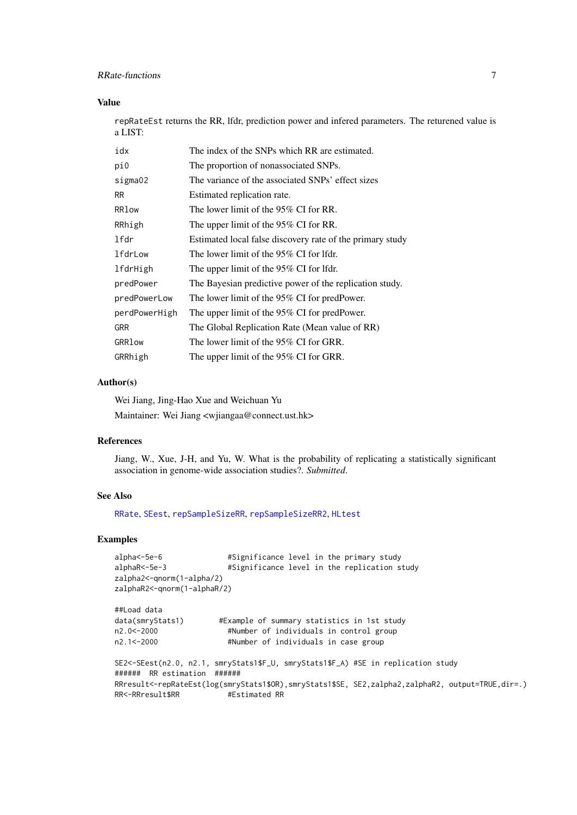#### <span id="page-6-0"></span>RRate-functions 7

#### Value

repRateEst returns the RR, lfdr, prediction power and infered parameters. The returened value is a LIST:

| idx           | The index of the SNPs which RR are estimated.             |
|---------------|-----------------------------------------------------------|
| pi0           | The proportion of nonassociated SNPs.                     |
| sigma02       | The variance of the associated SNPs' effect sizes         |
| RR.           | Estimated replication rate.                               |
| RRlow         | The lower limit of the 95% CI for RR.                     |
| RRhigh        | The upper limit of the 95% CI for RR.                     |
| lfdr          | Estimated local false discovery rate of the primary study |
| lfdrLow       | The lower limit of the 95% CI for lfdr.                   |
| lfdrHigh      | The upper limit of the 95% CI for lfdr.                   |
| predPower     | The Bayesian predictive power of the replication study.   |
| predPowerLow  | The lower limit of the 95% CI for predPower.              |
| perdPowerHigh | The upper limit of the 95% CI for predPower.              |
| <b>GRR</b>    | The Global Replication Rate (Mean value of RR)            |
| GRRlow        | The lower limit of the 95% CI for GRR.                    |
| GRRhigh       | The upper limit of the 95% CI for GRR.                    |

#### Author(s)

Wei Jiang, Jing-Hao Xue and Weichuan Yu Maintainer: Wei Jiang <wjiangaa@connect.ust.hk>

#### References

Jiang, W., Xue, J-H, and Yu, W. What is the probability of replicating a statistically significant association in genome-wide association studies?. *Submitted*.

#### See Also

[RRate](#page-0-2), [SEest](#page-7-1), [repSampleSizeRR](#page-4-1), [repSampleSizeRR2](#page-4-2), [HLtest](#page-2-1)

#### Examples

```
alpha<-5e-6 #Significance level in the primary study
alphaR<-5e-3 #Significance level in the replication study
zalpha2<-qnorm(1-alpha/2)
zalphaR2<-qnorm(1-alphaR/2)
##Load data
data(smryStats1) #Example of summary statistics in 1st study
n2.0<-2000 #Number of individuals in control group
                       #Number of individuals in case group
SE2<-SEest(n2.0, n2.1, smryStats1$F_U, smryStats1$F_A) #SE in replication study
###### RR estimation ######
RRresult<-repRateEst(log(smryStats1$OR),smryStats1$SE, SE2,zalpha2,zalphaR2, output=TRUE,dir=.)
RR<-RRresult$RR #Estimated RR
```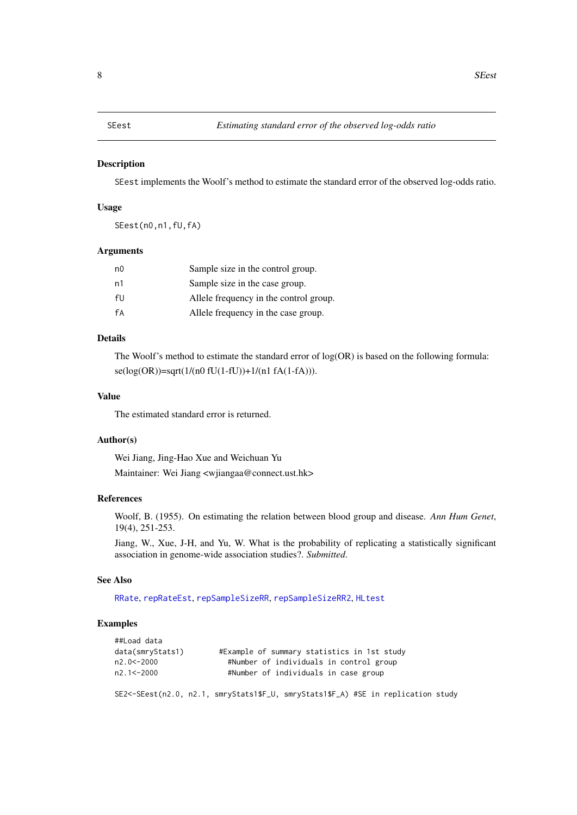<span id="page-7-1"></span><span id="page-7-0"></span>

#### Description

SEest implements the Woolf's method to estimate the standard error of the observed log-odds ratio.

#### Usage

SEest(n0,n1,fU,fA)

#### Arguments

| n <sub>0</sub> | Sample size in the control group.      |
|----------------|----------------------------------------|
| n1             | Sample size in the case group.         |
| fIJ            | Allele frequency in the control group. |
| fA             | Allele frequency in the case group.    |

#### Details

The Woolf's method to estimate the standard error of log(OR) is based on the following formula: se(log(OR))=sqrt(1/(n0 fU(1-fU))+1/(n1 fA(1-fA))).

#### Value

The estimated standard error is returned.

#### Author(s)

Wei Jiang, Jing-Hao Xue and Weichuan Yu Maintainer: Wei Jiang <wjiangaa@connect.ust.hk>

#### References

Woolf, B. (1955). On estimating the relation between blood group and disease. *Ann Hum Genet*, 19(4), 251-253.

Jiang, W., Xue, J-H, and Yu, W. What is the probability of replicating a statistically significant association in genome-wide association studies?. *Submitted*.

#### See Also

[RRate](#page-0-2), [repRateEst](#page-5-1), [repSampleSizeRR](#page-4-1), [repSampleSizeRR2](#page-4-2), [HLtest](#page-2-1)

#### Examples

| ##Load data      |                                                                                   |
|------------------|-----------------------------------------------------------------------------------|
| data(smryStats1) | #Example of summary statistics in 1st study                                       |
| n2.0 < - 2000    | #Number of individuals in control group                                           |
| n2.1 < - 2000    | #Number of individuals in case group                                              |
|                  | SE2<-SEest(n2.0, n2.1, smryStats1\$F_U, smryStats1\$F_A) #SE in replication study |